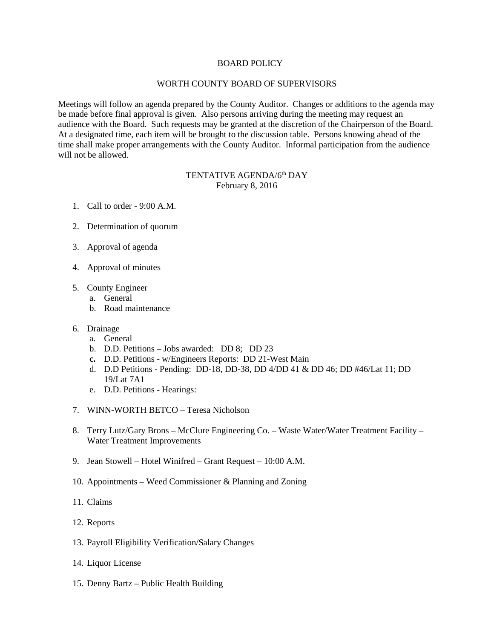## BOARD POLICY

## WORTH COUNTY BOARD OF SUPERVISORS

Meetings will follow an agenda prepared by the County Auditor. Changes or additions to the agenda may be made before final approval is given. Also persons arriving during the meeting may request an audience with the Board. Such requests may be granted at the discretion of the Chairperson of the Board. At a designated time, each item will be brought to the discussion table. Persons knowing ahead of the time shall make proper arrangements with the County Auditor. Informal participation from the audience will not be allowed.

## TENTATIVE AGENDA/6<sup>th</sup> DAY February 8, 2016

- 1. Call to order 9:00 A.M.
- 2. Determination of quorum
- 3. Approval of agenda
- 4. Approval of minutes
- 5. County Engineer
	- a. General
	- b. Road maintenance
- 6. Drainage
	- a. General
	- b. D.D. Petitions Jobs awarded: DD 8; DD 23
	- **c.** D.D. Petitions w/Engineers Reports: DD 21-West Main
	- d. D.D Petitions Pending: DD-18, DD-38, DD 4/DD 41 & DD 46; DD #46/Lat 11; DD 19/Lat 7A1
	- e. D.D. Petitions Hearings:
- 7. WINN-WORTH BETCO Teresa Nicholson
- 8. Terry Lutz/Gary Brons McClure Engineering Co. Waste Water/Water Treatment Facility Water Treatment Improvements
- 9. Jean Stowell Hotel Winifred Grant Request 10:00 A.M.
- 10. Appointments Weed Commissioner & Planning and Zoning
- 11. Claims
- 12. Reports
- 13. Payroll Eligibility Verification/Salary Changes
- 14. Liquor License
- 15. Denny Bartz Public Health Building